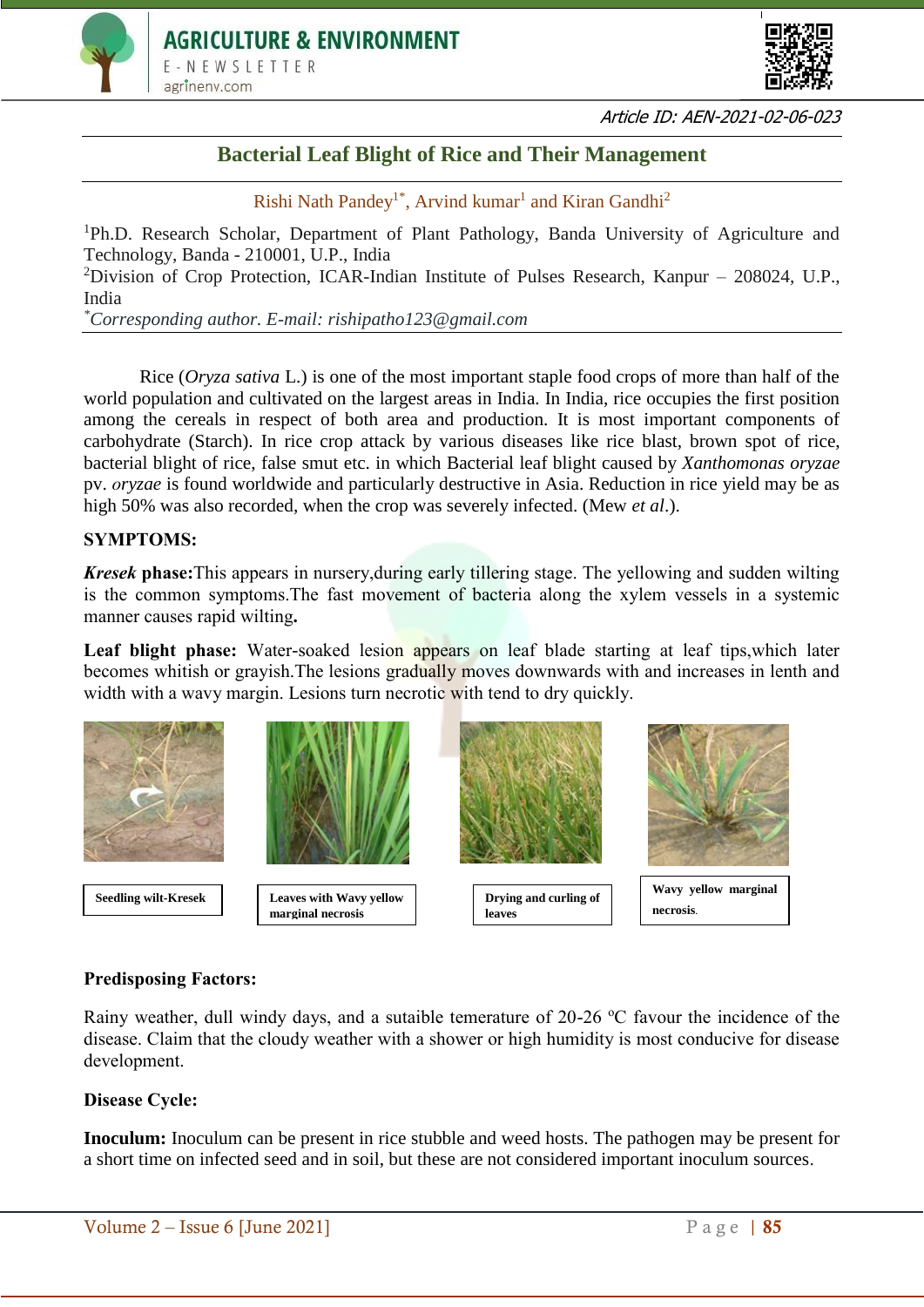



Article ID: AEN-2021-02-06-023

# **Bacterial Leaf Blight of Rice and Their Management**

Rishi Nath Pandey<sup>1\*</sup>, Arvind kumar<sup>1</sup> and Kiran Gandhi<sup>2</sup>

<sup>1</sup>Ph.D. Research Scholar, Department of Plant Pathology, Banda University of Agriculture and Technology, Banda - 210001, U.P., India

<sup>2</sup>Division of Crop Protection, ICAR-Indian Institute of Pulses Research, Kanpur – 208024, U.P., India

*\*Corresponding author. E-mail: rishipatho123@gmail.com*

Rice (*Oryza sativa* L.) is one of the most important staple food crops of more than half of the world population and cultivated on the largest areas in India. In India, rice occupies the first position among the cereals in respect of both area and production. It is most important components of carbohydrate (Starch). In rice crop attack by various diseases like rice blast, brown spot of rice, bacterial blight of rice, false smut etc. in which Bacterial leaf blight caused by *Xanthomonas oryzae* pv. *oryzae* is found worldwide and particularly destructive in Asia. Reduction in rice yield may be as high 50% was also recorded, when the crop was severely infected. (Mew *et al*.).

# **SYMPTOMS:**

*Kresek* **phase:**This appears in nursery,during early tillering stage. The yellowing and sudden wilting is the common symptoms.The fast movement of bacteria along the xylem vessels in a systemic manner causes rapid wilting**.**

Leaf blight phase: Water-soaked lesion appears on leaf blade starting at leaf tips, which later becomes whitish or grayish.The lesions gradually moves downwards with and increases in lenth and width with a wavy margin. Lesions turn necrotic with tend to dry quickly.



# **Predisposing Factors:**

Rainy weather, dull windy days, and a sutaible temerature of  $20-26$  °C favour the incidence of the disease. Claim that the cloudy weather with a shower or high humidity is most conducive for disease development.

# **Disease Cycle:**

**Inoculum:** Inoculum can be present in rice stubble and weed hosts. The pathogen may be present for a short time on infected seed and in soil, but these are not considered important inoculum sources.